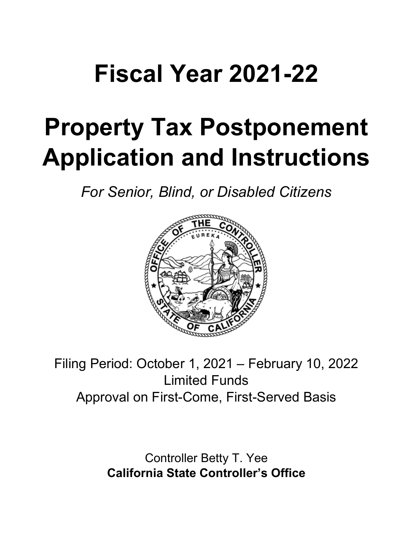## **Fiscal Year 2021-22**

# **Property Tax Postponement Application and Instructions**

*For Senior, Blind, or Disabled Citizens*



Filing Period: October 1, 2021 – February 10, 2022 Limited Funds Approval on First-Come, First-Served Basis

> Controller Betty T. Yee **California State Controller's Office**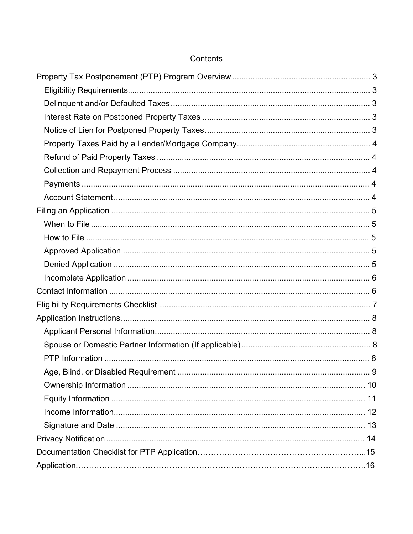## Contents

| 9 |
|---|
|   |
|   |
|   |
|   |
|   |
|   |
|   |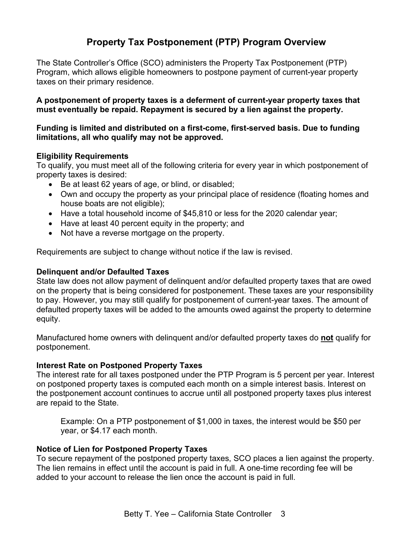## **Property Tax Postponement (PTP) Program Overview**

<span id="page-2-0"></span>The State Controller's Office (SCO) administers the Property Tax Postponement (PTP) Program, which allows eligible homeowners to postpone payment of current-year property taxes on their primary residence.

**A postponement of property taxes is a deferment of current-year property taxes that must eventually be repaid. Repayment is secured by a lien against the property.** 

#### **Funding is limited and distributed on a first-come, first-served basis. Due to funding limitations, all who qualify may not be approved.**

### <span id="page-2-1"></span>**Eligibility Requirements**

To qualify, you must meet all of the following criteria for every year in which postponement of property taxes is desired:

- Be at least 62 years of age, or blind, or disabled;
- Own and occupy the property as your principal place of residence (floating homes and house boats are not eligible);
- Have a total household income of \$45,810 or less for the 2020 calendar year;
- Have at least 40 percent equity in the property; and
- Not have a reverse mortgage on the property.

Requirements are subject to change without notice if the law is revised.

### <span id="page-2-2"></span>**Delinquent and/or Defaulted Taxes**

State law does not allow payment of delinquent and/or defaulted property taxes that are owed on the property that is being considered for postponement. These taxes are your responsibility to pay. However, you may still qualify for postponement of current-year taxes. The amount of defaulted property taxes will be added to the amounts owed against the property to determine equity.

Manufactured home owners with delinquent and/or defaulted property taxes do **not** qualify for postponement.

### <span id="page-2-3"></span>**Interest Rate on Postponed Property Taxes**

The interest rate for all taxes postponed under the PTP Program is 5 percent per year. Interest on postponed property taxes is computed each month on a simple interest basis. Interest on the postponement account continues to accrue until all postponed property taxes plus interest are repaid to the State.

Example: On a PTP postponement of \$1,000 in taxes, the interest would be \$50 per year, or \$4.17 each month.

### <span id="page-2-4"></span>**Notice of Lien for Postponed Property Taxes**

To secure repayment of the postponed property taxes, SCO places a lien against the property. The lien remains in effect until the account is paid in full. A one-time recording fee will be added to your account to release the lien once the account is paid in full.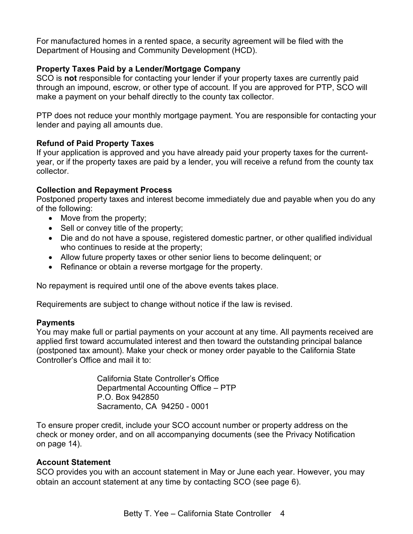For manufactured homes in a rented space, a security agreement will be filed with the Department of Housing and Community Development (HCD).

## <span id="page-3-0"></span>**Property Taxes Paid by a Lender/Mortgage Company**

SCO is **not** responsible for contacting your lender if your property taxes are currently paid through an impound, escrow, or other type of account. If you are approved for PTP, SCO will make a payment on your behalf directly to the county tax collector.

PTP does not reduce your monthly mortgage payment. You are responsible for contacting your lender and paying all amounts due.

## <span id="page-3-1"></span>**Refund of Paid Property Taxes**

If your application is approved and you have already paid your property taxes for the currentyear, or if the property taxes are paid by a lender, you will receive a refund from the county tax collector.

## <span id="page-3-2"></span>**Collection and Repayment Process**

Postponed property taxes and interest become immediately due and payable when you do any of the following:

- Move from the property;
- Sell or convey title of the property;
- Die and do not have a spouse, registered domestic partner, or other qualified individual who continues to reside at the property;
- Allow future property taxes or other senior liens to become delinquent; or
- Refinance or obtain a reverse mortgage for the property.

No repayment is required until one of the above events takes place.

Requirements are subject to change without notice if the law is revised.

### <span id="page-3-3"></span>**Payments**

You may make full or partial payments on your account at any time. All payments received are applied first toward accumulated interest and then toward the outstanding principal balance (postponed tax amount). Make your check or money order payable to the California State Controller's Office and mail it to:

> California State Controller's Office Departmental Accounting Office – PTP P.O. Box 942850 Sacramento, CA 94250 - 0001

To ensure proper credit, include your SCO account number or property address on the check or money order, and on all accompanying documents (see the Privacy Notification on page 14).

### <span id="page-3-4"></span>**Account Statement**

SCO provides you with an account statement in May or June each year. However, you may obtain an account statement at any time by contacting SCO (see page 6).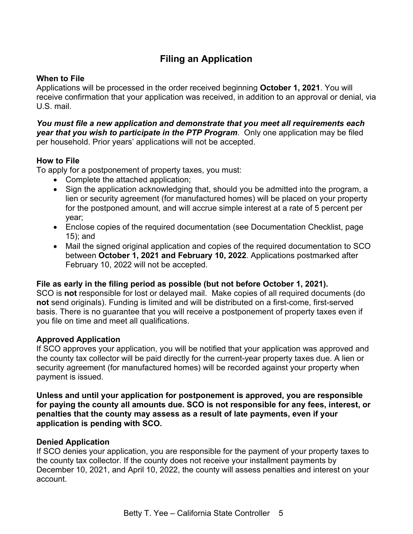## **Filing an Application**

## <span id="page-4-1"></span><span id="page-4-0"></span>**When to File**

Applications will be processed in the order received beginning **October 1, 2021**. You will receive confirmation that your application was received, in addition to an approval or denial, via U.S. mail.

### *You must file a new application and demonstrate that you meet all requirements each year that you wish to participate in the PTP Program.* Only one application may be filed per household. Prior years' applications will not be accepted.

## <span id="page-4-2"></span>**How to File**

To apply for a postponement of property taxes, you must:

- Complete the attached application;
- Sign the application acknowledging that, should you be admitted into the program, a lien or security agreement (for manufactured homes) will be placed on your property for the postponed amount, and will accrue simple interest at a rate of 5 percent per year;
- Enclose copies of the required documentation (see Documentation Checklist, page 15); and
- Mail the signed original application and copies of the required documentation to SCO between **October 1, 2021 and February 10, 2022**. Applications postmarked after February 10, 2022 will not be accepted.

### **File as early in the filing period as possible (but not before October 1, 2021).**

SCO is **not** responsible for lost or delayed mail. Make copies of all required documents (do **not** send originals). Funding is limited and will be distributed on a first-come, first-served basis. There is no guarantee that you will receive a postponement of property taxes even if you file on time and meet all qualifications.

### <span id="page-4-3"></span>**Approved Application**

If SCO approves your application, you will be notified that your application was approved and the county tax collector will be paid directly for the current-year property taxes due. A lien or security agreement (for manufactured homes) will be recorded against your property when payment is issued.

**Unless and until your application for postponement is approved, you are responsible for paying the county all amounts due. SCO is not responsible for any fees, interest, or penalties that the county may assess as a result of late payments, even if your application is pending with SCO.** 

### <span id="page-4-4"></span>**Denied Application**

If SCO denies your application, you are responsible for the payment of your property taxes to the county tax collector. If the county does not receive your installment payments by December 10, 2021, and April 10, 2022, the county will assess penalties and interest on your account.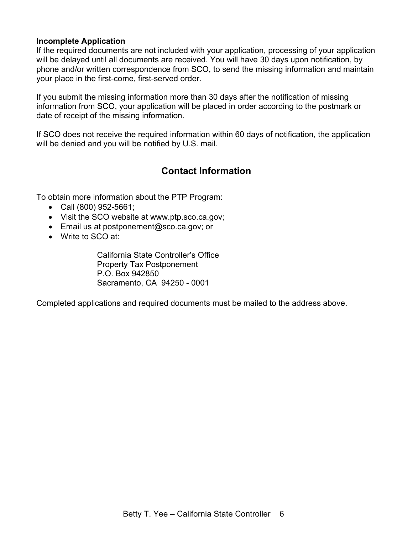### <span id="page-5-0"></span>**Incomplete Application**

If the required documents are not included with your application, processing of your application will be delayed until all documents are received. You will have 30 days upon notification, by phone and/or written correspondence from SCO, to send the missing information and maintain your place in the first-come, first-served order.

If you submit the missing information more than 30 days after the notification of missing information from SCO, your application will be placed in order according to the postmark or date of receipt of the missing information.

<span id="page-5-1"></span>If SCO does not receive the required information within 60 days of notification, the application will be denied and you will be notified by U.S. mail.

## **Contact Information**

To obtain more information about the PTP Program:

- Call (800) 952-5661;
- Visit the SCO website at www.ptp.sco.ca.gov;
- Email us at [postponement@sco.ca.gov;](mailto:postponement@sco.ca.gov) or
- Write to SCO at:

California State Controller's Office Property Tax Postponement P.O. Box 942850 Sacramento, CA 94250 - 0001

<span id="page-5-2"></span>Completed applications and required documents must be mailed to the address above.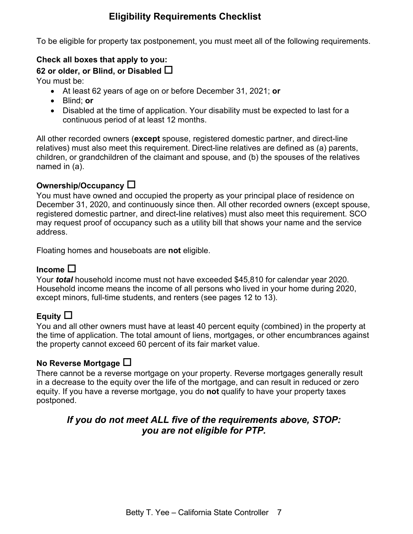## **Eligibility Requirements Checklist**

To be eligible for property tax postponement, you must meet all of the following requirements.

## **Check all boxes that apply to you:**

**62 or older, or Blind, or Disabled**

You must be:

- At least 62 years of age on or before December 31, 2021; **or**
- Blind; **or**
- Disabled at the time of application. Your disability must be expected to last for a continuous period of at least 12 months.

All other recorded owners (**except** spouse, registered domestic partner, and direct-line relatives) must also meet this requirement. Direct-line relatives are defined as (a) parents, children, or grandchildren of the claimant and spouse, and (b) the spouses of the relatives named in (a).

## **Ownership/Occupancy**

You must have owned and occupied the property as your principal place of residence on December 31, 2020, and continuously since then. All other recorded owners (except spouse, registered domestic partner, and direct-line relatives) must also meet this requirement. SCO may request proof of occupancy such as a utility bill that shows your name and the service address.

Floating homes and houseboats are **not** eligible.

## **Income**

Your *total* household income must not have exceeded \$45,810 for calendar year 2020. Household income means the income of all persons who lived in your home during 2020, except minors, full-time students, and renters (see pages 12 to 13).

## **Equity**

You and all other owners must have at least 40 percent equity (combined) in the property at the time of application. The total amount of liens, mortgages, or other encumbrances against the property cannot exceed 60 percent of its fair market value.

## **No Reverse Mortgage**

There cannot be a reverse mortgage on your property. Reverse mortgages generally result in a decrease to the equity over the life of the mortgage, and can result in reduced or zero equity. If you have a reverse mortgage, you do **not** qualify to have your property taxes postponed.

## *If you do not meet ALL five of the requirements above, STOP: you are not eligible for PTP.*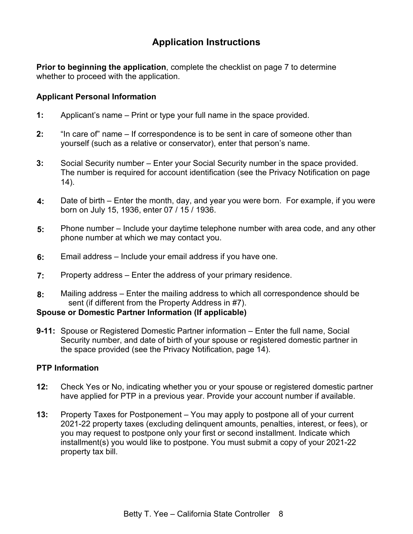## **Application Instructions**

<span id="page-7-0"></span>**Prior to beginning the application**, complete the checklist on page 7 to determine whether to proceed with the application.

## <span id="page-7-1"></span>**Applicant Personal Information**

- **1:** Applicant's name Print or type your full name in the space provided.
- **2:** "In care of" name If correspondence is to be sent in care of someone other than yourself (such as a relative or conservator), enter that person's name.
- **3:** Social Security number Enter your Social Security number in the space provided. The number is required for account identification (see the Privacy Notification on page 14).
- **4:** Date of birth Enter the month, day, and year you were born. For example, if you were born on July 15, 1936, enter 07 / 15 / 1936.
- **5:** Phone number Include your daytime telephone number with area code, and any other phone number at which we may contact you.
- **6:** Email address Include your email address if you have one.
- **7:** Property address Enter the address of your primary residence.
- **8:** Mailing address Enter the mailing address to which all correspondence should be sent (if different from the Property Address in #7).

### <span id="page-7-2"></span>**Spouse or Domestic Partner Information (If applicable)**

**9-11:** Spouse or Registered Domestic Partner information – Enter the full name, Social Security number, and date of birth of your spouse or registered domestic partner in the space provided (see the Privacy Notification, page 14).

## <span id="page-7-3"></span>**PTP Information**

- **12:** Check Yes or No, indicating whether you or your spouse or registered domestic partner have applied for PTP in a previous year. Provide your account number if available.
- **13:** Property Taxes for Postponement You may apply to postpone all of your current 2021-22 property taxes (excluding delinquent amounts, penalties, interest, or fees), or you may request to postpone only your first or second installment. Indicate which installment(s) you would like to postpone. You must submit a copy of your 2021-22 property tax bill.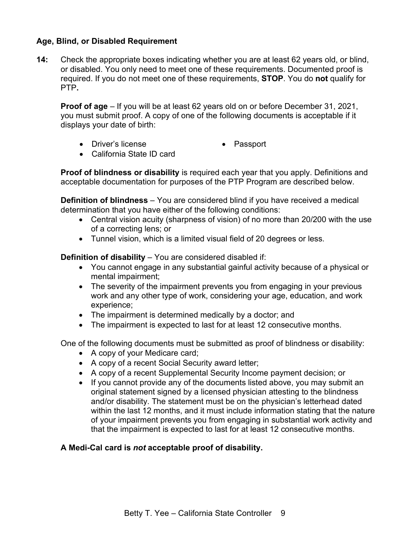## <span id="page-8-0"></span>**Age, Blind, or Disabled Requirement**

**14:** Check the appropriate boxes indicating whether you are at least 62 years old, or blind, or disabled. You only need to meet one of these requirements. Documented proof is required. If you do not meet one of these requirements, **STOP**. You do **not** qualify for PTP**.** 

**Proof of age** – If you will be at least 62 years old on or before December 31, 2021, you must submit proof. A copy of one of the following documents is acceptable if it displays your date of birth:

- Driver's license Passport
	-
- California State ID card

**Proof of blindness or disability** is required each year that you apply. Definitions and acceptable documentation for purposes of the PTP Program are described below.

**Definition of blindness** – You are considered blind if you have received a medical determination that you have either of the following conditions:

- Central vision acuity (sharpness of vision) of no more than 20/200 with the use of a correcting lens; or
- Tunnel vision, which is a limited visual field of 20 degrees or less.

**Definition of disability** – You are considered disabled if:

- You cannot engage in any substantial gainful activity because of a physical or mental impairment;
- The severity of the impairment prevents you from engaging in your previous work and any other type of work, considering your age, education, and work experience;
- The impairment is determined medically by a doctor; and
- The impairment is expected to last for at least 12 consecutive months.

One of the following documents must be submitted as proof of blindness or disability:

- A copy of your Medicare card;
- A copy of a recent Social Security award letter;
- A copy of a recent Supplemental Security Income payment decision; or
- If you cannot provide any of the documents listed above, you may submit an original statement signed by a licensed physician attesting to the blindness and/or disability. The statement must be on the physician's letterhead dated within the last 12 months, and it must include information stating that the nature of your impairment prevents you from engaging in substantial work activity and that the impairment is expected to last for at least 12 consecutive months.

## **A Medi-Cal card is** *not* **acceptable proof of disability.**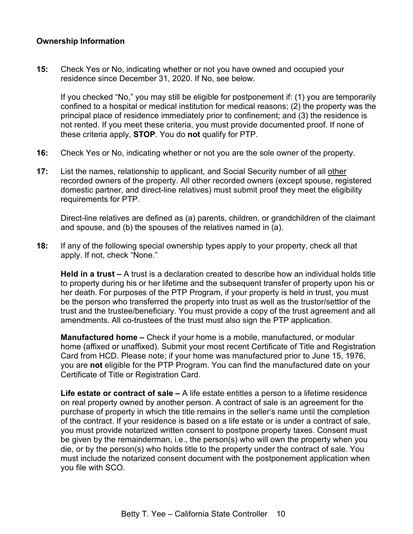## <span id="page-9-0"></span>**Ownership Information**

**15:** Check Yes or No, indicating whether or not you have owned and occupied your residence since December 31, 2020. If No, see below.

If you checked "No," you may still be eligible for postponement if: (1) you are temporarily confined to a hospital or medical institution for medical reasons; (2) the property was the principal place of residence immediately prior to confinement; and (3) the residence is not rented. If you meet these criteria, you must provide documented proof. If none of these criteria apply, **STOP**. You do **not** qualify for PTP.

- **16:** Check Yes or No, indicating whether or not you are the sole owner of the property.
- **17:** List the names, relationship to applicant, and Social Security number of all other recorded owners of the property. All other recorded owners (except spouse, registered domestic partner, and direct-line relatives) must submit proof they meet the eligibility requirements for PTP.

Direct-line relatives are defined as (a) parents, children, or grandchildren of the claimant and spouse, and (b) the spouses of the relatives named in (a).

**18:** If any of the following special ownership types apply to your property, check all that apply. If not, check "None."

**Held in a trust –** A trust is a declaration created to describe how an individual holds title to property during his or her lifetime and the subsequent transfer of property upon his or her death. For purposes of the PTP Program, if your property is held in trust, you must be the person who transferred the property into trust as well as the trustor/settlor of the trust and the trustee/beneficiary. You must provide a copy of the trust agreement and all amendments. All co-trustees of the trust must also sign the PTP application.

**Manufactured home –** Check if your home is a mobile, manufactured, or modular home (affixed or unaffixed). Submit your most recent Certificate of Title and Registration Card from HCD. Please note; if your home was manufactured prior to June 15, 1976, you are **not** eligible for the PTP Program. You can find the manufactured date on your Certificate of Title or Registration Card.

**Life estate or contract of sale –** A life estate entitles a person to a lifetime residence on real property owned by another person. A contract of sale is an agreement for the purchase of property in which the title remains in the seller's name until the completion of the contract. If your residence is based on a life estate or is under a contract of sale, you must provide notarized written consent to postpone property taxes. Consent must be given by the remainderman, i.e., the person(s) who will own the property when you die, or by the person(s) who holds title to the property under the contract of sale. You must include the notarized consent document with the postponement application when you file with SCO.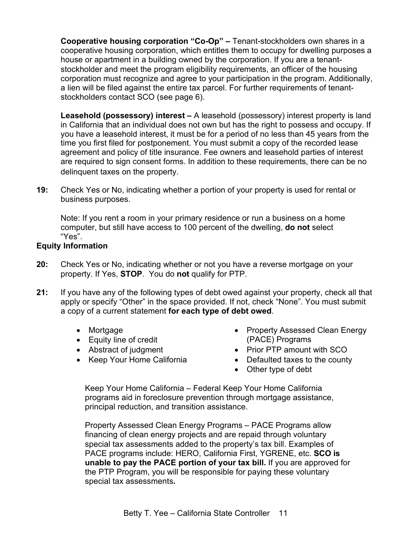**Cooperative housing corporation "Co-Op" –** Tenant-stockholders own shares in a cooperative housing corporation, which entitles them to occupy for dwelling purposes a house or apartment in a building owned by the corporation. If you are a tenantstockholder and meet the program eligibility requirements, an officer of the housing corporation must recognize and agree to your participation in the program. Additionally, a lien will be filed against the entire tax parcel. For further requirements of tenantstockholders contact SCO (see page 6).

**Leasehold (possessory) interest –** A leasehold (possessory) interest property is land in California that an individual does not own but has the right to possess and occupy. If you have a leasehold interest, it must be for a period of no less than 45 years from the time you first filed for postponement. You must submit a copy of the recorded lease agreement and policy of title insurance. Fee owners and leasehold parties of interest are required to sign consent forms. In addition to these requirements, there can be no delinquent taxes on the property.

**19:** Check Yes or No, indicating whether a portion of your property is used for rental or business purposes.

Note: If you rent a room in your primary residence or run a business on a home computer, but still have access to 100 percent of the dwelling, **do not** select "Yes".

### <span id="page-10-0"></span>**Equity Information**

- **20:** Check Yes or No, indicating whether or not you have a reverse mortgage on your property. If Yes, **STOP**. You do **not** qualify for PTP.
- **21:** If you have any of the following types of debt owed against your property, check all that apply or specify "Other" in the space provided. If not, check "None". You must submit a copy of a current statement **for each type of debt owed**.
	- Mortgage
	- Equity line of credit
	- Abstract of judgment
	- Keep Your Home California
- Property Assessed Clean Energy (PACE) Programs
- Prior PTP amount with SCO
- Defaulted taxes to the county
- Other type of debt

Keep Your Home California – Federal Keep Your Home California programs aid in foreclosure prevention through mortgage assistance, principal reduction, and transition assistance.

Property Assessed Clean Energy Programs – PACE Programs allow financing of clean energy projects and are repaid through voluntary special tax assessments added to the property's tax bill. Examples of PACE programs include: HERO, California First, YGRENE, etc. **SCO is unable to pay the PACE portion of your tax bill.** If you are approved for the PTP Program, you will be responsible for paying these voluntary special tax assessments**.**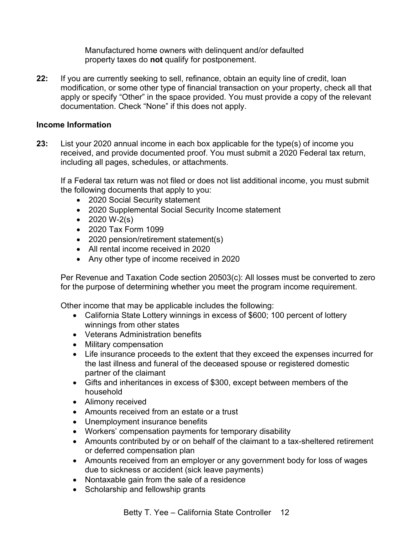Manufactured home owners with delinquent and/or defaulted property taxes do **not** qualify for postponement.

**22:** If you are currently seeking to sell, refinance, obtain an equity line of credit, loan modification, or some other type of financial transaction on your property, check all that apply or specify "Other" in the space provided. You must provide a copy of the relevant documentation. Check "None" if this does not apply.

## <span id="page-11-0"></span>**Income Information**

**23:** List your 2020 annual income in each box applicable for the type(s) of income you received, and provide documented proof. You must submit a 2020 Federal tax return, including all pages, schedules, or attachments.

If a Federal tax return was not filed or does not list additional income, you must submit the following documents that apply to you:

- 2020 Social Security statement
- 2020 Supplemental Social Security Income statement
- $2020 W-2(s)$
- 2020 Tax Form 1099
- 2020 pension/retirement statement(s)
- All rental income received in 2020
- Any other type of income received in 2020

Per Revenue and Taxation Code section 20503(c): All losses must be converted to zero for the purpose of determining whether you meet the program income requirement.

Other income that may be applicable includes the following:

- California State Lottery winnings in excess of \$600; 100 percent of lottery winnings from other states
- Veterans Administration benefits
- Military compensation
- Life insurance proceeds to the extent that they exceed the expenses incurred for the last illness and funeral of the deceased spouse or registered domestic partner of the claimant
- Gifts and inheritances in excess of \$300, except between members of the household
- Alimony received
- Amounts received from an estate or a trust
- Unemployment insurance benefits
- Workers' compensation payments for temporary disability
- Amounts contributed by or on behalf of the claimant to a tax-sheltered retirement or deferred compensation plan
- Amounts received from an employer or any government body for loss of wages due to sickness or accident (sick leave payments)
- Nontaxable gain from the sale of a residence
- Scholarship and fellowship grants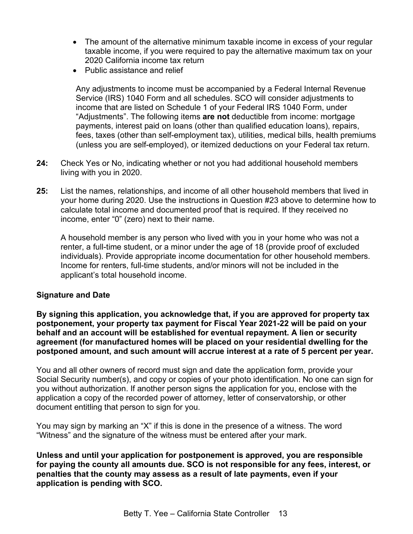- The amount of the alternative minimum taxable income in excess of your regular taxable income, if you were required to pay the alternative maximum tax on your 2020 California income tax return
- Public assistance and relief

Any adjustments to income must be accompanied by a Federal Internal Revenue Service (IRS) 1040 Form and all schedules. SCO will consider adjustments to income that are listed on Schedule 1 of your Federal IRS 1040 Form, under "Adjustments". The following items **are not** deductible from income: mortgage payments, interest paid on loans (other than qualified education loans), repairs, fees, taxes (other than self-employment tax), utilities, medical bills, health premiums (unless you are self-employed), or itemized deductions on your Federal tax return.

- **24:** Check Yes or No, indicating whether or not you had additional household members living with you in 2020.
- **25:** List the names, relationships, and income of all other household members that lived in your home during 2020. Use the instructions in Question #23 above to determine how to calculate total income and documented proof that is required. If they received no income, enter "0" (zero) next to their name.

A household member is any person who lived with you in your home who was not a renter, a full-time student, or a minor under the age of 18 (provide proof of excluded individuals). Provide appropriate income documentation for other household members. Income for renters, full-time students, and/or minors will not be included in the applicant's total household income.

### <span id="page-12-0"></span>**Signature and Date**

**By signing this application, you acknowledge that, if you are approved for property tax postponement, your property tax payment for Fiscal Year 2021-22 will be paid on your behalf and an account will be established for eventual repayment. A lien or security agreement (for manufactured homes will be placed on your residential dwelling for the postponed amount, and such amount will accrue interest at a rate of 5 percent per year.**

You and all other owners of record must sign and date the application form, provide your Social Security number(s), and copy or copies of your photo identification. No one can sign for you without authorization. If another person signs the application for you, enclose with the application a copy of the recorded power of attorney, letter of conservatorship, or other document entitling that person to sign for you.

You may sign by marking an "X" if this is done in the presence of a witness. The word "Witness" and the signature of the witness must be entered after your mark.

**Unless and until your application for postponement is approved, you are responsible for paying the county all amounts due. SCO is not responsible for any fees, interest, or penalties that the county may assess as a result of late payments, even if your application is pending with SCO.**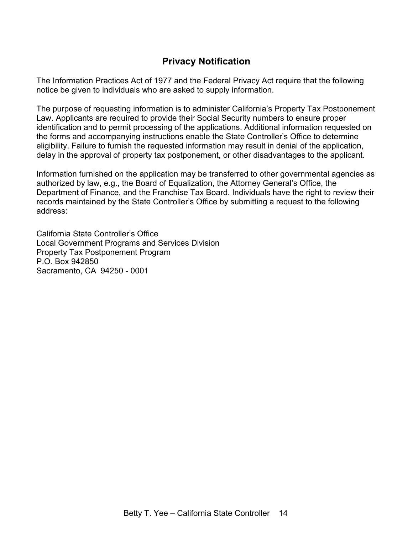## **Privacy Notification**

<span id="page-13-0"></span>The Information Practices Act of 1977 and the Federal Privacy Act require that the following notice be given to individuals who are asked to supply information.

The purpose of requesting information is to administer California's Property Tax Postponement Law. Applicants are required to provide their Social Security numbers to ensure proper identification and to permit processing of the applications. Additional information requested on the forms and accompanying instructions enable the State Controller's Office to determine eligibility. Failure to furnish the requested information may result in denial of the application, delay in the approval of property tax postponement, or other disadvantages to the applicant.

Information furnished on the application may be transferred to other governmental agencies as authorized by law, e.g., the Board of Equalization, the Attorney General's Office, the Department of Finance, and the Franchise Tax Board. Individuals have the right to review their records maintained by the State Controller's Office by submitting a request to the following address:

California State Controller's Office Local Government Programs and Services Division Property Tax Postponement Program P.O. Box 942850 Sacramento, CA 94250 - 0001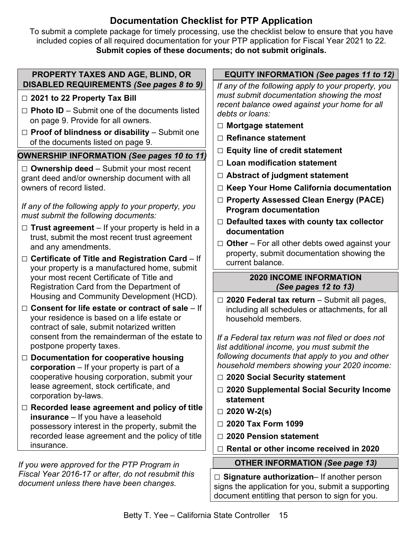## **Documentation Checklist for PTP Application**

<span id="page-14-0"></span>To submit a complete package for timely processing, use the checklist below to ensure that you have included copies of all required documentation for your PTP application for Fiscal Year 2021 to 22. **Submit copies of these documents; do not submit originals.** 

## **PROPERTY TAXES AND AGE, BLIND, OR DISABLED REQUIREMENTS** *(See pages 8 to 9)*

## □ 2021 to 22 Property Tax Bill

- □ Photo ID Submit one of the documents listed on page 9. Provide for all owners.
- □ Proof of blindness or disability Submit one of the documents listed on page 9.

## **OWNERSHIP INFORMATION** *(See pages 10 to 11)*

**□ Ownership deed** – Submit your most recent grant deed and/or ownership document with all owners of record listed.

*If any of the following apply to your property, you must submit the following documents:* 

- **□ Trust agreement** If your property is held in a trust, submit the most recent trust agreement and any amendments.
- **□ Certificate of Title and Registration Card** If your property is a manufactured home, submit your most recent Certificate of Title and Registration Card from the Department of Housing and Community Development (HCD).
- **□ Consent for life estate or contract of sale**  If your residence is based on a life estate or contract of sale, submit notarized written consent from the remainderman of the estate to postpone property taxes.
- **□ Documentation for cooperative housing corporation** – If your property is part of a cooperative housing corporation, submit your lease agreement, stock certificate, and corporation by-laws.
- **□ Recorded lease agreement and policy of title insurance** – If you have a leasehold possessory interest in the property, submit the recorded lease agreement and the policy of title insurance.

*If you were approved for the PTP Program in Fiscal Year 2016-17 or after, do not resubmit this document unless there have been changes.*

## **EQUITY INFORMATION** *(See pages 11 to 12)*

*If any of the following apply to your property, you must submit documentation showing the most recent balance owed against your home for all debts or loans:* 

- **□ Mortgage statement**
- **□ Refinance statement**
- **□ Equity line of credit statement**
- **□ Loan modification statement**
- **□ Abstract of judgment statement**
- **□ Keep Your Home California documentation**
- **□ Property Assessed Clean Energy (PACE) Program documentation**
- **□ Defaulted taxes with county tax collector documentation**
- **□ Other**  For all other debts owed against your property, submit documentation showing the current balance.

## **2020 INCOME INFORMATION**  *(See pages 12 to 13)*

**□ 2020 Federal tax return** – Submit all pages, including all schedules or attachments, for all household members.

*If a Federal tax return was not filed or does not list additional income, you must submit the following documents that apply to you and other household members showing your 2020 income:* 

- **□ 2020 Social Security statement**
- **□ 2020 Supplemental Social Security Income statement**
- **□ 2020 W-2(s)**
- **□ 2020 Tax Form 1099**
- **□ 2020 Pension statement**
- **□ Rental or other income received in 2020**

## **OTHER INFORMATION** *(See page 13)*

**□ Signature authorization**– If another person signs the application for you, submit a supporting document entitling that person to sign for you.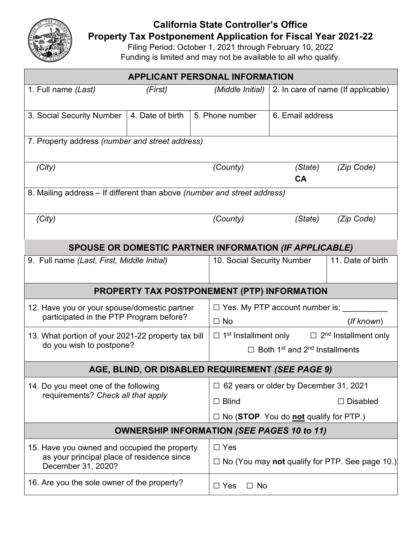<span id="page-15-0"></span>

## **California State Controller's Office**

**Property Tax Postponement Application for Fiscal Year 2021-22** 

Filing Period: October 1, 2021 through February 10, 2022 Funding is limited and may not be available to all who qualify.

| <b>APPLICANT PERSONAL INFORMATION</b>                                                                            |                  |                                                                                 |                                                              |                                    |                 |  |  |
|------------------------------------------------------------------------------------------------------------------|------------------|---------------------------------------------------------------------------------|--------------------------------------------------------------|------------------------------------|-----------------|--|--|
| 1. Full name (Last)                                                                                              | (First)          |                                                                                 | (Middle Initial)                                             | 2. In care of name (If applicable) |                 |  |  |
| 3. Social Security Number                                                                                        | 4. Date of birth |                                                                                 | 5. Phone number                                              | 6. Email address                   |                 |  |  |
| 7. Property address (number and street address)                                                                  |                  |                                                                                 |                                                              |                                    |                 |  |  |
| (City)                                                                                                           |                  |                                                                                 | (County)                                                     | (State)<br><b>CA</b>               | (Zip Code)      |  |  |
| 8. Mailing address - If different than above (number and street address)                                         |                  |                                                                                 |                                                              |                                    |                 |  |  |
| (City)                                                                                                           |                  |                                                                                 | (County)                                                     | (State)                            | (Zip Code)      |  |  |
| SPOUSE OR DOMESTIC PARTNER INFORMATION (IF APPLICABLE)                                                           |                  |                                                                                 |                                                              |                                    |                 |  |  |
| 9. Full name (Last, First, Middle Initial)                                                                       |                  | 10. Social Security Number                                                      |                                                              | 11. Date of birth                  |                 |  |  |
| <b>PROPERTY TAX POSTPONEMENT (PTP) INFORMATION</b>                                                               |                  |                                                                                 |                                                              |                                    |                 |  |  |
| 12. Have you or your spouse/domestic partner<br>participated in the PTP Program before?                          |                  | $\Box$ Yes. My PTP account number is:<br>$\Box$ No<br>(If known)                |                                                              |                                    |                 |  |  |
| 13. What portion of your 2021-22 property tax bill<br>do you wish to postpone?                                   |                  | $\Box$ 1 <sup>st</sup> Installment only $\Box$ 2 <sup>nd</sup> Installment only |                                                              |                                    |                 |  |  |
|                                                                                                                  |                  |                                                                                 | $\Box$ Both 1 <sup>st</sup> and 2 <sup>nd</sup> Installments |                                    |                 |  |  |
| AGE, BLIND, OR DISABLED REQUIREMENT (SEE PAGE 9)                                                                 |                  |                                                                                 |                                                              |                                    |                 |  |  |
| 14. Do you meet one of the following<br>requirements? Check all that apply                                       |                  |                                                                                 | $\Box$ 62 years or older by December 31, 2021                |                                    |                 |  |  |
|                                                                                                                  |                  |                                                                                 |                                                              |                                    | $\Box$ Disabled |  |  |
|                                                                                                                  |                  |                                                                                 | $\Box$ No (STOP. You do not qualify for PTP.)                |                                    |                 |  |  |
| <b>OWNERSHIP INFORMATION (SEE PAGES 10 to 11)</b>                                                                |                  |                                                                                 |                                                              |                                    |                 |  |  |
| 15. Have you owned and occupied the property<br>as your principal place of residence since<br>December 31, 2020? |                  | $\Box$ Yes<br>$\Box$ No (You may not qualify for PTP. See page 10.)             |                                                              |                                    |                 |  |  |
| 16. Are you the sole owner of the property?                                                                      |                  | $\Box$ Yes<br>$\Box$ No                                                         |                                                              |                                    |                 |  |  |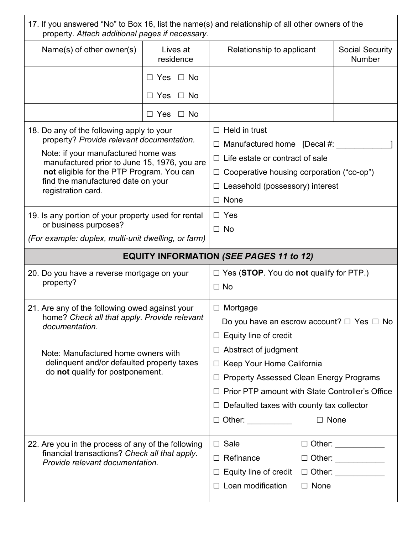| 17. If you answered "No" to Box 16, list the name(s) and relationship of all other owners of the<br>property. Attach additional pages if necessary.                                                                                                                                    |                                                     |                                                                                                                                                                                                                                                                                                                                                        |                                         |  |  |  |  |
|----------------------------------------------------------------------------------------------------------------------------------------------------------------------------------------------------------------------------------------------------------------------------------------|-----------------------------------------------------|--------------------------------------------------------------------------------------------------------------------------------------------------------------------------------------------------------------------------------------------------------------------------------------------------------------------------------------------------------|-----------------------------------------|--|--|--|--|
| Name(s) of other owner(s)                                                                                                                                                                                                                                                              | Lives at<br>residence                               | Relationship to applicant                                                                                                                                                                                                                                                                                                                              | <b>Social Security</b><br><b>Number</b> |  |  |  |  |
|                                                                                                                                                                                                                                                                                        | $\Box$ Yes $\Box$ No                                |                                                                                                                                                                                                                                                                                                                                                        |                                         |  |  |  |  |
|                                                                                                                                                                                                                                                                                        | $\Box$ Yes $\Box$ No                                |                                                                                                                                                                                                                                                                                                                                                        |                                         |  |  |  |  |
|                                                                                                                                                                                                                                                                                        | $\Box$ No<br>$\Box$ Yes                             |                                                                                                                                                                                                                                                                                                                                                        |                                         |  |  |  |  |
| 18. Do any of the following apply to your<br>property? Provide relevant documentation.<br>Note: if your manufactured home was<br>manufactured prior to June 15, 1976, you are<br>not eligible for the PTP Program. You can<br>find the manufactured date on your<br>registration card. |                                                     | $\Box$ Held in trust<br>$\Box$ Manufactured home [Decal #:<br>$\Box$ Life estate or contract of sale<br>Cooperative housing corporation ("co-op")<br>$\Box$<br>$\Box$ Leasehold (possessory) interest<br>None<br>$\Box$                                                                                                                                |                                         |  |  |  |  |
| 19. Is any portion of your property used for rental<br>or business purposes?                                                                                                                                                                                                           |                                                     | $\Box$ Yes<br>$\Box$ No                                                                                                                                                                                                                                                                                                                                |                                         |  |  |  |  |
|                                                                                                                                                                                                                                                                                        | (For example: duplex, multi-unit dwelling, or farm) |                                                                                                                                                                                                                                                                                                                                                        |                                         |  |  |  |  |
| <b>EQUITY INFORMATION (SEE PAGES 11 to 12)</b>                                                                                                                                                                                                                                         |                                                     |                                                                                                                                                                                                                                                                                                                                                        |                                         |  |  |  |  |
| 20. Do you have a reverse mortgage on your<br>property?                                                                                                                                                                                                                                |                                                     | $\Box$ Yes (STOP. You do not qualify for PTP.)                                                                                                                                                                                                                                                                                                         |                                         |  |  |  |  |
|                                                                                                                                                                                                                                                                                        |                                                     | $\Box$ No                                                                                                                                                                                                                                                                                                                                              |                                         |  |  |  |  |
| 21. Are any of the following owed against your<br>home? Check all that apply. Provide relevant<br>documentation.<br>Note: Manufactured home owners with<br>delinquent and/or defaulted property taxes<br>do not qualify for postponement.                                              |                                                     | $\Box$ Mortgage<br>Do you have an escrow account? $\Box$ Yes $\Box$ No<br>$\Box$ Equity line of credit<br>$\Box$ Abstract of judgment<br>Keep Your Home California<br>$\Box$<br><b>Property Assessed Clean Energy Programs</b><br>$\Box$<br><b>Prior PTP amount with State Controller's Office</b><br>$\Box$ Defaulted taxes with county tax collector |                                         |  |  |  |  |
|                                                                                                                                                                                                                                                                                        |                                                     | $\Box$ Other: $\Box$                                                                                                                                                                                                                                                                                                                                   | $\Box$ None                             |  |  |  |  |